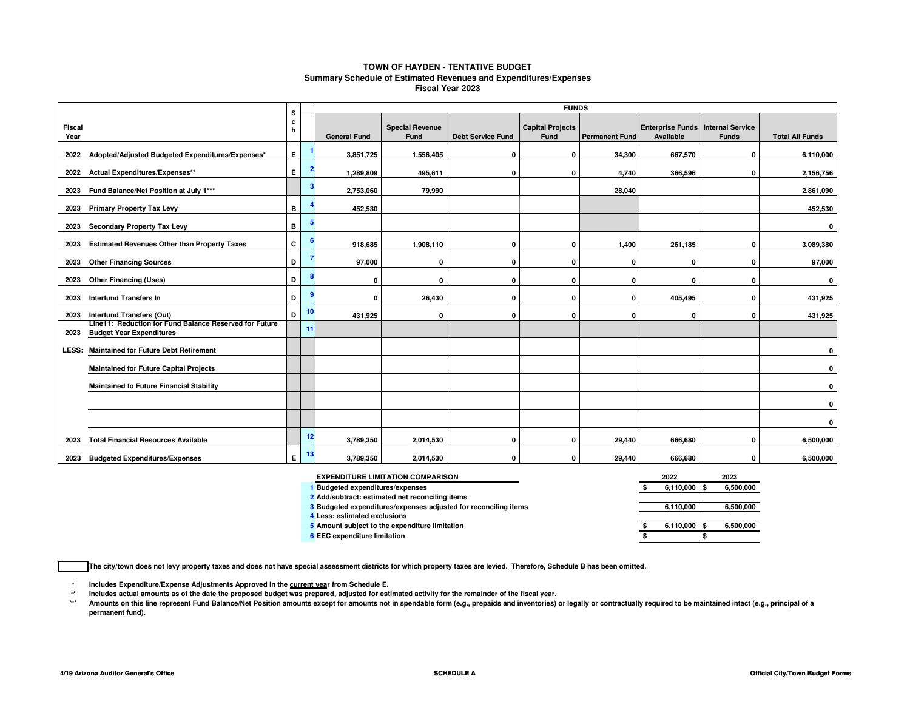#### **TOWN OF HAYDEN - TENTATIVE BUDGET Summary Schedule of Estimated Revenues and Expenditures/ExpensesFiscal Year 2023**

|                                                                                                   | s                 |    | <b>FUNDS</b>        |                                |                          |                                 |                       |                                      |                                         |                        |  |  |
|---------------------------------------------------------------------------------------------------|-------------------|----|---------------------|--------------------------------|--------------------------|---------------------------------|-----------------------|--------------------------------------|-----------------------------------------|------------------------|--|--|
| <b>Fiscal</b><br>Year                                                                             | $\mathbf{c}$<br>h |    | <b>General Fund</b> | <b>Special Revenue</b><br>Fund | <b>Debt Service Fund</b> | <b>Capital Projects</b><br>Fund | <b>Permanent Fund</b> | <b>Enterprise Funds</b><br>Available | <b>Internal Service</b><br><b>Funds</b> | <b>Total All Funds</b> |  |  |
| Adopted/Adjusted Budgeted Expenditures/Expenses*<br>2022                                          | E.                |    | 3,851,725           | 1,556,405                      | 0                        | 0                               | 34,300                | 667,570                              | 0                                       | 6,110,000              |  |  |
| Actual Expenditures/Expenses**<br>2022                                                            | E.                |    | 1,289,809           | 495,611                        | 0                        | 0                               | 4,740                 | 366,596                              | 0                                       | 2,156,756              |  |  |
| Fund Balance/Net Position at July 1***<br>2023                                                    |                   |    | 2,753,060           | 79,990                         |                          |                                 | 28,040                |                                      |                                         | 2,861,090              |  |  |
| <b>Primary Property Tax Levy</b><br>2023                                                          | в                 |    | 452,530             |                                |                          |                                 |                       |                                      |                                         | 452,530                |  |  |
| Secondary Property Tax Levy<br>2023                                                               | в                 |    |                     |                                |                          |                                 |                       |                                      |                                         | 0                      |  |  |
| <b>Estimated Revenues Other than Property Taxes</b><br>2023                                       | C                 |    | 918,685             | 1,908,110                      | 0                        | 0                               | 1,400                 | 261,185                              | $\Omega$                                | 3,089,380              |  |  |
| <b>Other Financing Sources</b><br>2023                                                            | D                 |    | 97,000              | 0                              | <sup>0</sup>             | 0                               | O                     | $\Omega$                             | O                                       | 97,000                 |  |  |
| <b>Other Financing (Uses)</b><br>2023                                                             | D                 |    | 0                   | $\mathbf{0}$                   | 0                        | 0                               | 0                     | 0                                    | $\Omega$                                | $\mathbf 0$            |  |  |
| <b>Interfund Transfers In</b><br>2023                                                             | D                 |    | 0                   | 26,430                         | 0                        | 0                               | 0                     | 405,495                              | $\Omega$                                | 431,925                |  |  |
| Interfund Transfers (Out)<br>2023                                                                 | D                 | 10 | 431,925             | $\mathbf{0}$                   | 0                        | $\mathbf{0}$                    | 0                     | 0                                    | $\Omega$                                | 431,925                |  |  |
| Line11: Reduction for Fund Balance Reserved for Future<br><b>Budget Year Expenditures</b><br>2023 |                   | 11 |                     |                                |                          |                                 |                       |                                      |                                         |                        |  |  |
| <b>Maintained for Future Debt Retirement</b><br>LESS:                                             |                   |    |                     |                                |                          |                                 |                       |                                      |                                         | 0                      |  |  |
| <b>Maintained for Future Capital Projects</b>                                                     |                   |    |                     |                                |                          |                                 |                       |                                      |                                         | $\mathbf 0$            |  |  |
| <b>Maintained fo Future Financial Stability</b>                                                   |                   |    |                     |                                |                          |                                 |                       |                                      |                                         | $\mathbf 0$            |  |  |
|                                                                                                   |                   |    |                     |                                |                          |                                 |                       |                                      |                                         | $\mathbf 0$            |  |  |
|                                                                                                   |                   |    |                     |                                |                          |                                 |                       |                                      |                                         | 0                      |  |  |
| <b>Total Financial Resources Available</b><br>2023                                                |                   | 12 | 3,789,350           | 2,014,530                      | 0                        | 0                               | 29,440                | 666,680                              | 0                                       | 6,500,000              |  |  |
| <b>Budgeted Expenditures/Expenses</b><br>2023                                                     | E.                | 13 | 3,789,350           | 2,014,530                      | 0                        | 0                               | 29,440                | 666.680                              | n                                       | 6,500,000              |  |  |

| <b>EXPENDITURE LIMITATION COMPARISON</b>                        | 2022      | 2023      |
|-----------------------------------------------------------------|-----------|-----------|
| <b>Budgeted expenditures/expenses</b>                           | 6.110.000 | 6,500,000 |
| 2 Add/subtract: estimated net reconciling items                 |           |           |
| 3 Budgeted expenditures/expenses adjusted for reconciling items | 6.110.000 | 6,500,000 |
| Less: estimated exclusions                                      |           |           |
| 5 Amount subject to the expenditure limitation                  | 6,110,000 | 6,500,000 |
| <b>EEC</b> expenditure limitation                               |           |           |

**The city/town does not levy property taxes and does not have special assessment districts for which property taxes are levied. Therefore, Schedule B has been omitted.**

**\*Includes Expenditure/Expense Adjustments Approved in the current year from Schedule E.** 

 **\*\*Includes actual amounts as of the date the proposed budget was prepared, adjusted for estimated activity for the remainder of the fiscal year.**

 **\*\*\***Amounts on this line represent Fund Balance/Net Position amounts except for amounts not in spendable form (e.g., prepaids and inventories) or legally or contractually required to be maintained intact (e.g., principal of a **permanent fund).**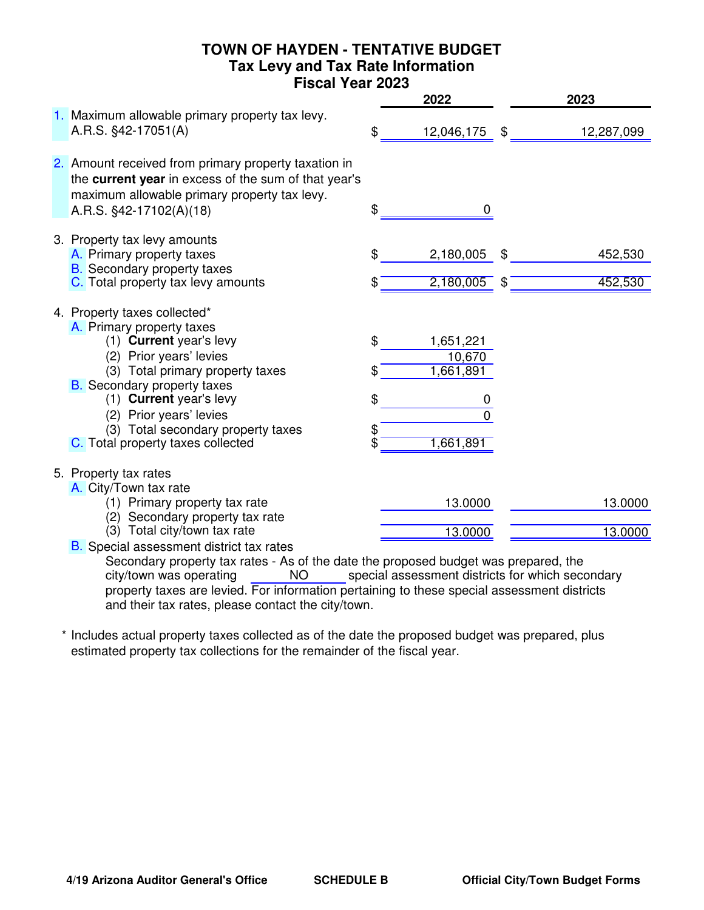## **TOWN OF HAYDEN - TENTATIVE BUDGET Tax Levy and Tax Rate Information Fiscal Year 2023**

|                                                                                                                                                                                                                                                                                                                            |                     | 2022                                                    |          | 2023               |
|----------------------------------------------------------------------------------------------------------------------------------------------------------------------------------------------------------------------------------------------------------------------------------------------------------------------------|---------------------|---------------------------------------------------------|----------|--------------------|
| 1. Maximum allowable primary property tax levy.<br>A.R.S. §42-17051(A)                                                                                                                                                                                                                                                     | \$                  | 12,046,175                                              | \$       | 12,287,099         |
| 2. Amount received from primary property taxation in<br>the current year in excess of the sum of that year's<br>maximum allowable primary property tax levy.<br>A.R.S. §42-17102(A)(18)                                                                                                                                    | \$                  | 0                                                       |          |                    |
| 3. Property tax levy amounts<br>A. Primary property taxes<br><b>B.</b> Secondary property taxes<br>C. Total property tax levy amounts                                                                                                                                                                                      | \$<br>S             | 2,180,005<br>2,180,005                                  | \$<br>\$ | 452,530<br>452,530 |
| 4. Property taxes collected*<br>A. Primary property taxes<br>(1) Current year's levy<br>(2) Prior years' levies<br>(3) Total primary property taxes<br><b>B.</b> Secondary property taxes<br>(1) Current year's levy<br>(2) Prior years' levies<br>(3) Total secondary property taxes<br>C. Total property taxes collected | \$<br>\$<br>\$<br>Ś | 1,651,221<br>10,670<br>1,661,891<br>0<br>U<br>1,661,891 |          |                    |
| 5. Property tax rates<br>A. City/Town tax rate<br>(1) Primary property tax rate<br>(2) Secondary property tax rate<br>(3) Total city/town tax rate<br><b>B.</b> Special assessment district tax rates                                                                                                                      |                     | 13.0000<br>13.0000                                      |          | 13.0000<br>13.0000 |

Secondary property tax rates - As of the date the proposed budget was prepared, the<br>city/town was operating MO special assessment districts for which secondary NO special assessment districts for which secondary property taxes are levied. For information pertaining to these special assessment districts and their tax rates, please contact the city/town. city/town was operating

\* Includes actual property taxes collected as of the date the proposed budget was prepared, plus estimated property tax collections for the remainder of the fiscal year.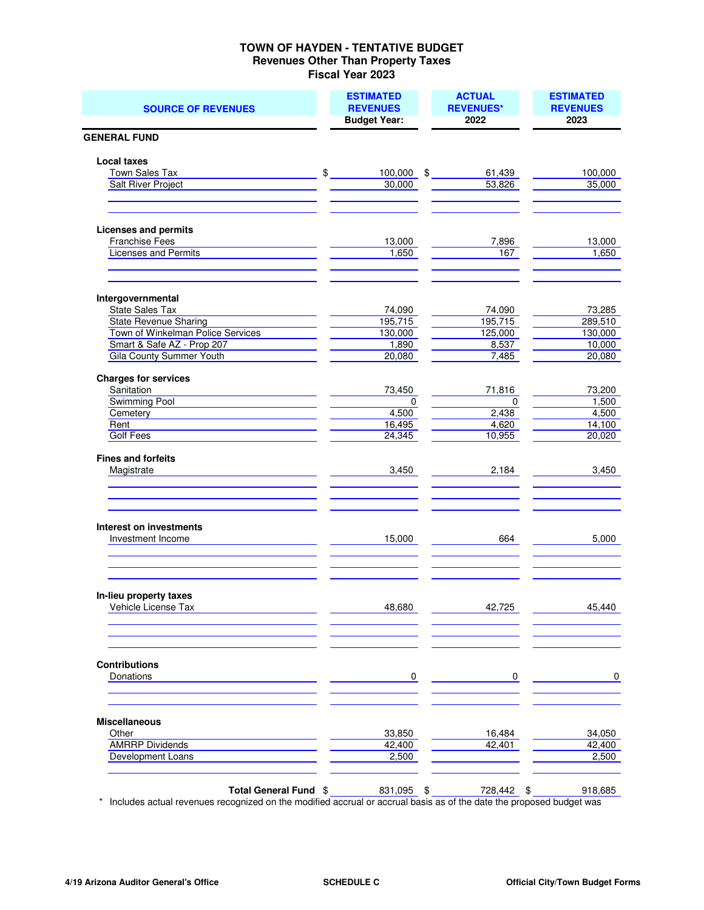#### **TOWN OF HAYDEN - TENTATIVE BUDGET Revenues Other Than Property Taxes Fiscal Year 2023**

| <b>SOURCE OF REVENUES</b>                           | <b>ESTIMATED</b><br><b>REVENUES</b><br><b>Budget Year:</b> | <b>ACTUAL</b><br><b>REVENUES*</b><br>2022 | <b>ESTIMATED</b><br><b>REVENUES</b><br>2023 |
|-----------------------------------------------------|------------------------------------------------------------|-------------------------------------------|---------------------------------------------|
| <b>GENERAL FUND</b>                                 |                                                            |                                           |                                             |
|                                                     |                                                            |                                           |                                             |
| <b>Local taxes</b>                                  |                                                            |                                           |                                             |
| Town Sales Tax<br><b>Salt River Project</b>         | \$<br>$100,000$ \$<br>30,000                               | 61,439<br>53,826                          | 100,000<br>35,000                           |
|                                                     |                                                            |                                           |                                             |
| <b>Licenses and permits</b>                         |                                                            |                                           |                                             |
| Franchise Fees                                      | 13,000                                                     | 7,896                                     | 13,000                                      |
| <b>Licenses and Permits</b>                         | 1,650                                                      | 167                                       | 1,650                                       |
| Intergovernmental                                   |                                                            |                                           |                                             |
| <b>State Sales Tax</b>                              | 74,090                                                     | 74,090                                    | 73,285                                      |
| <b>State Revenue Sharing</b>                        | 195,715                                                    | 195,715                                   | 289,510                                     |
| Town of Winkelman Police Services                   | 130,000                                                    | 125,000                                   | 130,000                                     |
| Smart & Safe AZ - Prop 207                          | 1,890                                                      | 8,537                                     | 10,000                                      |
| Gila County Summer Youth                            | 20,080                                                     | 7,485                                     | 20,080                                      |
| <b>Charges for services</b>                         |                                                            |                                           |                                             |
| Sanitation                                          | 73,450                                                     | 71,816                                    | 73,200                                      |
| Swimming Pool                                       | $\mathbf 0$                                                | $\overline{0}$                            | 1,500                                       |
| Cemetery                                            | 4,500                                                      | 2,438                                     | 4,500                                       |
| Rent                                                | 16,495                                                     | 4,620                                     | 14,100                                      |
| Golf Fees                                           | 24,345                                                     | 10,955                                    | 20,020                                      |
| <b>Fines and forfeits</b><br>Magistrate             | 3,450                                                      | 2,184                                     | 3,450                                       |
| <b>Interest on investments</b><br>Investment Income | 15,000                                                     | 664                                       | 5,000                                       |
|                                                     |                                                            |                                           |                                             |
| In-lieu property taxes<br>Vehicle License Tax       | 48,680                                                     | 42,725                                    | 45,440                                      |
| <b>Contributions</b><br>Donations                   | 0                                                          | 0                                         | $\mathbf 0$                                 |
| <b>Miscellaneous</b>                                |                                                            |                                           |                                             |
| Other                                               | 33,850                                                     | 16,484                                    | 34,050                                      |
| <b>AMRRP Dividends</b>                              | 42,400                                                     | 42,401                                    | 42,400                                      |
| Development Loans                                   | 2,500                                                      |                                           | 2,500                                       |
| Total General Fund \$                               | 831,095 \$                                                 | 728,442 \$                                | 918,685                                     |

\* Includes actual revenues recognized on the modified accrual or accrual basis as of the date the proposed budget was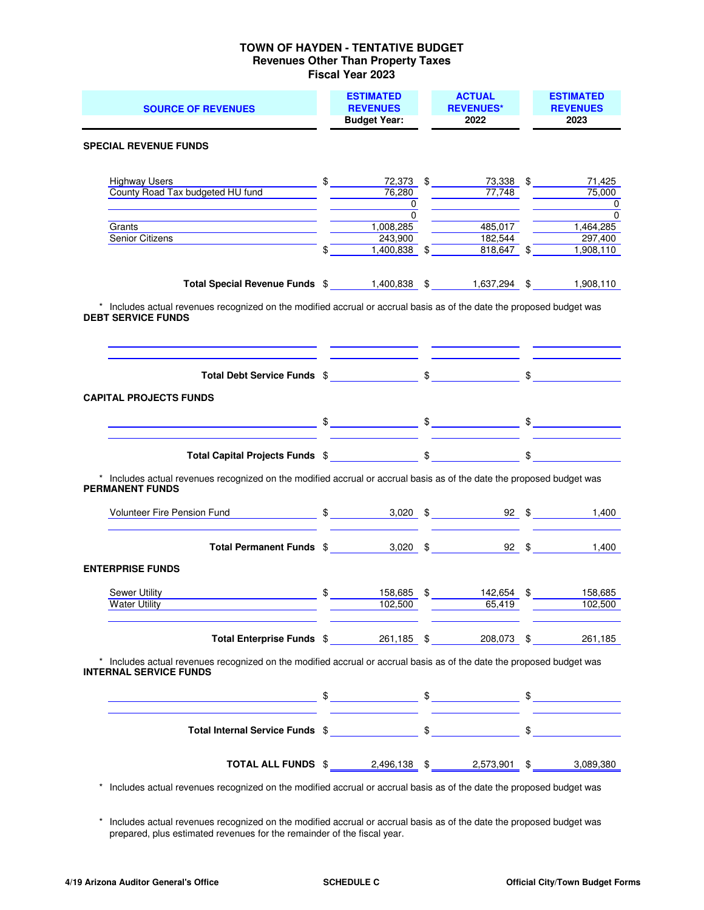#### **TOWN OF HAYDEN - TENTATIVE BUDGET Revenues Other Than Property Taxes Fiscal Year 2023**

| <b>SOURCE OF REVENUES</b>                                                                                                                                                                                                                                                                  |  | <b>ESTIMATED</b><br><b>REVENUES</b><br><b>Budget Year:</b> |  | <b>ACTUAL</b><br><b>REVENUES*</b><br>2022 | <b>ESTIMATED</b><br><b>REVENUES</b><br>2023 |
|--------------------------------------------------------------------------------------------------------------------------------------------------------------------------------------------------------------------------------------------------------------------------------------------|--|------------------------------------------------------------|--|-------------------------------------------|---------------------------------------------|
| <b>SPECIAL REVENUE FUNDS</b>                                                                                                                                                                                                                                                               |  |                                                            |  |                                           |                                             |
| <b>Highway Users</b>                                                                                                                                                                                                                                                                       |  | $\frac{1}{2}$                                              |  | 72,373 \$ 73,338 \$ 71,425                |                                             |
| County Road Tax budgeted HU fund                                                                                                                                                                                                                                                           |  | 76,280<br>$\overline{\mathbf{0}}$                          |  | $\overline{77,748}$                       | 75,000<br>$\overline{\phantom{a}}$ 0        |
|                                                                                                                                                                                                                                                                                            |  | $\overline{0}$                                             |  |                                           | $\overline{0}$                              |
| Grants                                                                                                                                                                                                                                                                                     |  | 1,008,285                                                  |  | 485,017                                   | 1,464,285                                   |
| Senior Citizens <b>Senior</b> Citizens <b>Senior</b> Citizens <b>Senior</b> Citizens <b>Senior</b> Citizens <b>Senior</b> Citizens <b>Senior</b> Citizens <b>Senior</b> Citizens <b>Senior</b> Citizens <b>Senior</b> Citizens <b>Senior</b> Citizens <b>Senior</b> Citizens <b>Senior</b> |  | 243,900<br>$\int$<br>$1,400,838$ \$                        |  | 182,544<br>$818,647$ \$                   | 297,400<br>1,908,110                        |
| Total Special Revenue Funds \$1,400,838 \$1,637,294 \$1,908,110                                                                                                                                                                                                                            |  |                                                            |  |                                           |                                             |
| * Includes actual revenues recognized on the modified accrual or accrual basis as of the date the proposed budget was<br><b>DEBT SERVICE FUNDS</b>                                                                                                                                         |  |                                                            |  |                                           |                                             |
|                                                                                                                                                                                                                                                                                            |  | <u> Albanya (Albanya Albanya)</u>                          |  |                                           |                                             |
| <b>CAPITAL PROJECTS FUNDS</b>                                                                                                                                                                                                                                                              |  |                                                            |  |                                           |                                             |
|                                                                                                                                                                                                                                                                                            |  |                                                            |  |                                           |                                             |
| Total Capital Projects Funds \$ \$ \$                                                                                                                                                                                                                                                      |  |                                                            |  |                                           |                                             |
| * Includes actual revenues recognized on the modified accrual or accrual basis as of the date the proposed budget was<br><b>PERMANENT FUNDS</b>                                                                                                                                            |  |                                                            |  |                                           |                                             |
| Volunteer Fire Pension Fund \$ 3,020 \$ 92 \$ 1,400                                                                                                                                                                                                                                        |  |                                                            |  |                                           |                                             |
| Total Permanent Funds \$2000 \$200 \$900 \$                                                                                                                                                                                                                                                |  |                                                            |  |                                           | 1.400                                       |
| <b>ENTERPRISE FUNDS</b>                                                                                                                                                                                                                                                                    |  |                                                            |  |                                           |                                             |
|                                                                                                                                                                                                                                                                                            |  |                                                            |  |                                           |                                             |
| $\frac{\text{158,685}}{102,500}$ $\frac{\text{201}}{102,500}$ $\frac{\text{312,500}}{102,500}$ $\frac{\text{312,500}}{102,500}$ $\frac{\text{412,654}}{102,500}$ $\frac{\text{511}}{102,500}$<br>Sewer Utility<br><b>Water Utility Water Utility</b>                                       |  |                                                            |  |                                           | $\overline{102,500}$                        |
| Total Enterprise Funds \$261,185 \$208,073 \$261,185                                                                                                                                                                                                                                       |  |                                                            |  |                                           |                                             |
| Includes actual revenues recognized on the modified accrual or accrual basis as of the date the proposed budget was<br><b>INTERNAL SERVICE FUNDS</b>                                                                                                                                       |  |                                                            |  |                                           |                                             |
|                                                                                                                                                                                                                                                                                            |  |                                                            |  |                                           |                                             |
|                                                                                                                                                                                                                                                                                            |  |                                                            |  |                                           |                                             |
| TOTAL ALL FUNDS \$2,496,138 \$2,573,901 \$2,578,901 \$2,089,380                                                                                                                                                                                                                            |  |                                                            |  |                                           |                                             |

\* Includes actual revenues recognized on the modified accrual or accrual basis as of the date the proposed budget was

 \* Includes actual revenues recognized on the modified accrual or accrual basis as of the date the proposed budget was prepared, plus estimated revenues for the remainder of the fiscal year.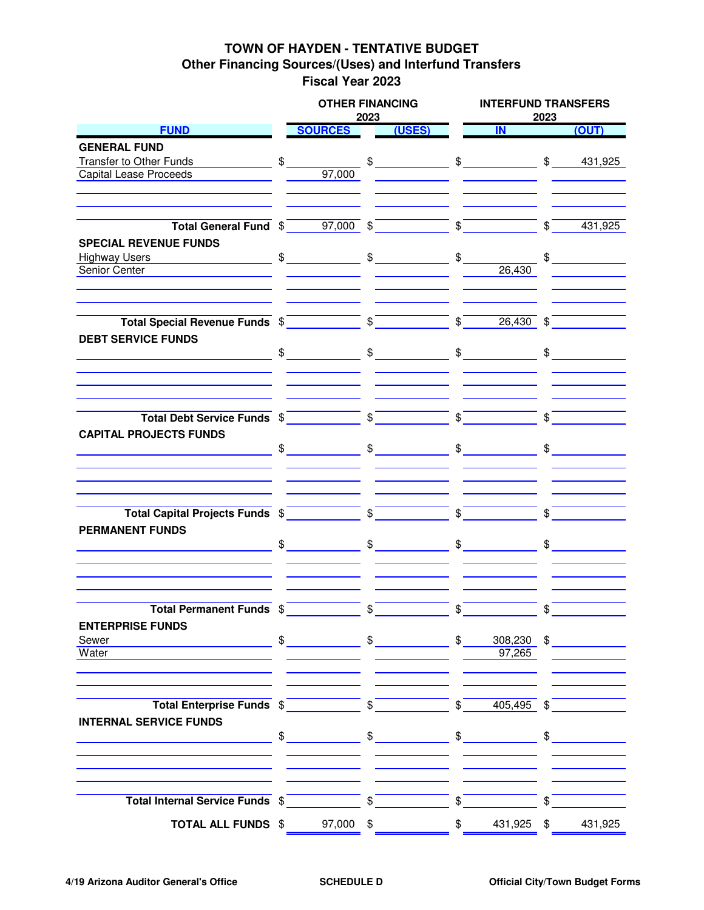## **TOWN OF HAYDEN - TENTATIVE BUDGET Other Financing Sources/(Uses) and Interfund Transfers Fiscal Year 2023**

|                                                                                                                                                                                                                                                                                                                                                                                                                                                                   |               | <b>OTHER FINANCING</b> | 2023 |               |                 | <b>INTERFUND TRANSFERS</b><br>2023              |               |                                                                                                                                                                                                                                                                                                                                                                                                                                 |  |
|-------------------------------------------------------------------------------------------------------------------------------------------------------------------------------------------------------------------------------------------------------------------------------------------------------------------------------------------------------------------------------------------------------------------------------------------------------------------|---------------|------------------------|------|---------------|-----------------|-------------------------------------------------|---------------|---------------------------------------------------------------------------------------------------------------------------------------------------------------------------------------------------------------------------------------------------------------------------------------------------------------------------------------------------------------------------------------------------------------------------------|--|
| <b>FUND</b>                                                                                                                                                                                                                                                                                                                                                                                                                                                       |               | <b>SOURCES</b>         |      | (USES)        |                 | $\blacksquare$                                  |               | (OUT)                                                                                                                                                                                                                                                                                                                                                                                                                           |  |
| <b>GENERAL FUND</b>                                                                                                                                                                                                                                                                                                                                                                                                                                               |               |                        |      |               |                 |                                                 |               |                                                                                                                                                                                                                                                                                                                                                                                                                                 |  |
| Transfer to Other Funds                                                                                                                                                                                                                                                                                                                                                                                                                                           | $\frac{1}{2}$ |                        |      |               |                 | $$$ $$$                                         |               | \$ 431,925                                                                                                                                                                                                                                                                                                                                                                                                                      |  |
| <b>Capital Lease Proceeds</b>                                                                                                                                                                                                                                                                                                                                                                                                                                     |               | 97,000                 |      |               |                 |                                                 |               |                                                                                                                                                                                                                                                                                                                                                                                                                                 |  |
|                                                                                                                                                                                                                                                                                                                                                                                                                                                                   |               |                        |      |               |                 |                                                 |               |                                                                                                                                                                                                                                                                                                                                                                                                                                 |  |
| Total General Fund $\sin \theta = 97,000$ $\sin \theta = 97$                                                                                                                                                                                                                                                                                                                                                                                                      |               |                        |      |               |                 | $\int$                                          | $\sqrt[3]{ }$ | 431,925                                                                                                                                                                                                                                                                                                                                                                                                                         |  |
| <b>SPECIAL REVENUE FUNDS</b>                                                                                                                                                                                                                                                                                                                                                                                                                                      |               |                        |      |               |                 |                                                 |               |                                                                                                                                                                                                                                                                                                                                                                                                                                 |  |
|                                                                                                                                                                                                                                                                                                                                                                                                                                                                   |               |                        |      |               |                 |                                                 |               | $\frac{1}{\sqrt{1-\frac{1}{2}}}\frac{1}{\sqrt{1-\frac{1}{2}}}\frac{1}{\sqrt{1-\frac{1}{2}}}\frac{1}{\sqrt{1-\frac{1}{2}}}\frac{1}{\sqrt{1-\frac{1}{2}}}\frac{1}{\sqrt{1-\frac{1}{2}}}\frac{1}{\sqrt{1-\frac{1}{2}}}\frac{1}{\sqrt{1-\frac{1}{2}}}\frac{1}{\sqrt{1-\frac{1}{2}}}\frac{1}{\sqrt{1-\frac{1}{2}}}\frac{1}{\sqrt{1-\frac{1}{2}}}\frac{1}{\sqrt{1-\frac{1}{2}}}\frac{1}{\sqrt{1-\frac{1}{2}}}\frac{1}{\sqrt{1-\frac{$ |  |
| Senior Center                                                                                                                                                                                                                                                                                                                                                                                                                                                     |               |                        |      |               |                 | 26,430                                          |               |                                                                                                                                                                                                                                                                                                                                                                                                                                 |  |
| Total Special Revenue Funds $\sqrt[6]{\phantom{a}}$                                                                                                                                                                                                                                                                                                                                                                                                               |               |                        |      |               |                 | $\frac{1}{2}$<br>$26,430$ \$                    |               |                                                                                                                                                                                                                                                                                                                                                                                                                                 |  |
| <b>DEBT SERVICE FUNDS</b>                                                                                                                                                                                                                                                                                                                                                                                                                                         |               |                        |      |               |                 |                                                 |               |                                                                                                                                                                                                                                                                                                                                                                                                                                 |  |
| $\begin{array}{ccccccc}\n\text{\$} & & & \text{\$} & & \text{\$} & & \text{\$} & \text{\$} & \text{\$} & \text{\$} & \text{\$} & \text{\$} & \text{\$} & \text{\$} & \text{\$} & \text{\$} & \text{\$} & \text{\$} & \text{\$} & \text{\$} & \text{\$} & \text{\$} & \text{\$} & \text{\$} & \text{\$} & \text{\$} & \text{\$} & \text{\$} & \text{\$} & \text{\$} & \text{\$} & \text{\$} & \text{\$} & \text{\$} & \text{\$} & \text{\$} & \text{\$} & \text{\$ |               |                        |      |               |                 |                                                 |               |                                                                                                                                                                                                                                                                                                                                                                                                                                 |  |
| Total Debt Service Funds $\sqrt[6]{\phantom{a}^{\text{2}}\qquad \qquad \sqrt[6]{\phantom{a}^{\text{3}}}}$                                                                                                                                                                                                                                                                                                                                                         |               |                        |      |               | $ \int$         |                                                 | $\mathcal{L}$ |                                                                                                                                                                                                                                                                                                                                                                                                                                 |  |
| <b>CAPITAL PROJECTS FUNDS</b>                                                                                                                                                                                                                                                                                                                                                                                                                                     |               | $\frac{1}{2}$          |      | $\frac{1}{2}$ |                 | $\frac{1}{\sqrt{2}}$                            |               | $\frac{1}{\sqrt{2}}$                                                                                                                                                                                                                                                                                                                                                                                                            |  |
|                                                                                                                                                                                                                                                                                                                                                                                                                                                                   |               |                        |      |               |                 |                                                 |               |                                                                                                                                                                                                                                                                                                                                                                                                                                 |  |
| Total Capital Projects Funds \$                                                                                                                                                                                                                                                                                                                                                                                                                                   |               |                        |      |               | $\mathcal{S}^-$ |                                                 |               |                                                                                                                                                                                                                                                                                                                                                                                                                                 |  |
| <b>PERMANENT FUNDS</b>                                                                                                                                                                                                                                                                                                                                                                                                                                            |               | $\frac{1}{2}$          |      | $\frac{1}{2}$ |                 | $\frac{1}{\sqrt{2}}$                            |               | $\mathfrak s$                                                                                                                                                                                                                                                                                                                                                                                                                   |  |
|                                                                                                                                                                                                                                                                                                                                                                                                                                                                   |               |                        |      |               |                 |                                                 |               |                                                                                                                                                                                                                                                                                                                                                                                                                                 |  |
| Total Permanent Funds \$<br><b>ENTERPRISE FUNDS</b>                                                                                                                                                                                                                                                                                                                                                                                                               |               |                        | \$   |               | \$              |                                                 |               |                                                                                                                                                                                                                                                                                                                                                                                                                                 |  |
| Sewer                                                                                                                                                                                                                                                                                                                                                                                                                                                             |               | $\frac{1}{2}$          |      | $\frac{1}{2}$ | $\mathsf{\$}$   |                                                 |               | $308,230$ \$                                                                                                                                                                                                                                                                                                                                                                                                                    |  |
| <u> 1989 - Johann Barn, fransk politik (d. 19</u><br>Water                                                                                                                                                                                                                                                                                                                                                                                                        |               |                        |      |               |                 | 97,265                                          |               |                                                                                                                                                                                                                                                                                                                                                                                                                                 |  |
|                                                                                                                                                                                                                                                                                                                                                                                                                                                                   |               |                        |      |               |                 |                                                 |               |                                                                                                                                                                                                                                                                                                                                                                                                                                 |  |
| Total Enterprise Funds $\sqrt[6]{\begin{array}{c} \text{5} \\ \text{6} \end{array}}$                                                                                                                                                                                                                                                                                                                                                                              |               |                        |      |               |                 | $\frac{1}{2}$ $\frac{405,495}{2}$ $\frac{1}{2}$ |               |                                                                                                                                                                                                                                                                                                                                                                                                                                 |  |
| <b>INTERNAL SERVICE FUNDS</b>                                                                                                                                                                                                                                                                                                                                                                                                                                     |               |                        |      |               |                 |                                                 |               |                                                                                                                                                                                                                                                                                                                                                                                                                                 |  |
| <u> 1990 - Johann Barbara, martin a</u>                                                                                                                                                                                                                                                                                                                                                                                                                           |               | $\frac{1}{\sqrt{2}}$   |      | $\frac{1}{2}$ |                 | $\frac{1}{2}$                                   |               | $\frac{1}{2}$                                                                                                                                                                                                                                                                                                                                                                                                                   |  |
| Total Internal Service Funds $\sqrt[6]{\begin{array}{c} \text{5}\end{array}}}$                                                                                                                                                                                                                                                                                                                                                                                    |               |                        |      |               | $\mathbf{\$}$   |                                                 | \$            |                                                                                                                                                                                                                                                                                                                                                                                                                                 |  |
| <b>TOTAL ALL FUNDS \$97,000 \$</b>                                                                                                                                                                                                                                                                                                                                                                                                                                |               |                        |      |               | $\frac{1}{2}$   | 431,925 \$                                      |               | 431,925                                                                                                                                                                                                                                                                                                                                                                                                                         |  |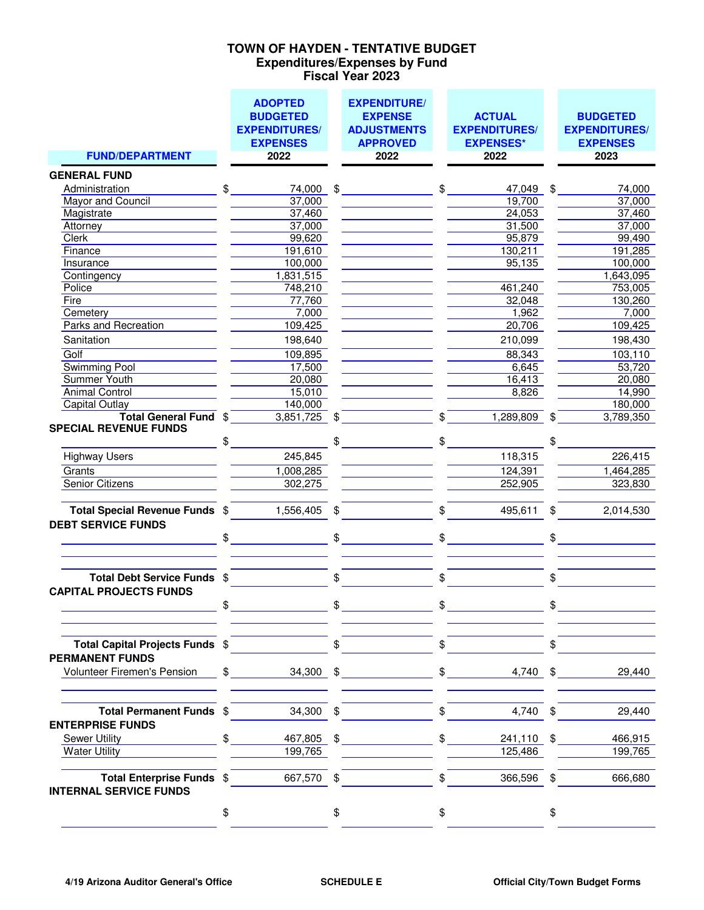### **Expenditures/Expenses by Fund Fiscal Year 2023 TOWN OF HAYDEN - TENTATIVE BUDGET**

|                                                             | <b>ADOPTED</b><br><b>BUDGETED</b><br><b>EXPENDITURES/</b> |                           | <b>EXPENDITURE/</b><br><b>EXPENSE</b><br><b>ADJUSTMENTS</b> |               | <b>ACTUAL</b><br><b>EXPENDITURES/</b> | <b>BUDGETED</b><br><b>EXPENDITURES/</b> |
|-------------------------------------------------------------|-----------------------------------------------------------|---------------------------|-------------------------------------------------------------|---------------|---------------------------------------|-----------------------------------------|
| <b>FUND/DEPARTMENT</b>                                      | <b>EXPENSES</b><br>2022                                   |                           | <b>APPROVED</b><br>2022                                     |               | <b>EXPENSES*</b><br>2022              | <b>EXPENSES</b><br>2023                 |
|                                                             |                                                           |                           |                                                             |               |                                       |                                         |
| <b>GENERAL FUND</b><br>Administration                       | \$<br>74,000                                              | $\$\$                     |                                                             | \$            | 47,049                                | \$<br>74,000                            |
| Mayor and Council                                           | 37,000                                                    |                           |                                                             |               | 19,700                                | 37,000                                  |
| Magistrate                                                  | 37,460                                                    |                           |                                                             |               | 24,053                                | 37,460                                  |
| Attorney                                                    | 37,000                                                    |                           |                                                             |               | 31,500                                | 37,000                                  |
| Clerk                                                       | 99,620                                                    |                           |                                                             |               | 95,879                                | 99,490                                  |
| Finance                                                     | 191,610                                                   |                           |                                                             |               | 130,211                               | 191,285                                 |
| Insurance                                                   | 100,000                                                   |                           |                                                             |               | 95,135                                | 100,000                                 |
| Contingency                                                 | 1,831,515                                                 |                           |                                                             |               |                                       | 1,643,095                               |
| Police                                                      | 748,210                                                   |                           |                                                             |               | 461,240                               | 753,005                                 |
| <b>Fire</b>                                                 | 77,760                                                    |                           |                                                             |               | 32,048                                | 130,260                                 |
| Cemetery                                                    | 7,000                                                     |                           |                                                             |               | 1,962                                 | 7,000                                   |
| <b>Parks and Recreation</b>                                 | 109,425                                                   |                           |                                                             |               | 20,706                                | 109,425                                 |
| Sanitation                                                  | 198,640                                                   |                           |                                                             |               | 210,099                               | 198,430                                 |
| Golf                                                        | 109,895                                                   |                           |                                                             |               | 88,343                                | 103,110                                 |
| <b>Swimming Pool</b>                                        | 17,500                                                    |                           |                                                             |               | 6,645                                 | 53,720                                  |
| <b>Summer Youth</b>                                         | 20,080                                                    |                           |                                                             |               | 16,413                                | 20,080                                  |
| <b>Animal Control</b>                                       | 15,010                                                    |                           |                                                             |               | 8,826                                 | 14,990                                  |
| <b>Capital Outlay</b>                                       | 140,000                                                   |                           |                                                             |               |                                       | 180,000                                 |
| Total General Fund \$                                       | 3,851,725                                                 | $\boldsymbol{\mathsf{S}}$ |                                                             | \$            | 1,289,809                             | \$<br>3,789,350                         |
| <b>SPECIAL REVENUE FUNDS</b>                                |                                                           |                           |                                                             |               |                                       |                                         |
|                                                             | \$                                                        | \$                        |                                                             | \$            |                                       |                                         |
| <b>Highway Users</b>                                        | 245,845                                                   |                           |                                                             |               | 118,315                               | 226,415                                 |
| Grants                                                      | 1,008,285                                                 |                           |                                                             |               | 124,391                               | 1,464,285                               |
| <b>Senior Citizens</b>                                      | 302,275                                                   |                           |                                                             |               | 252,905                               | 323,830                                 |
|                                                             |                                                           |                           |                                                             |               |                                       |                                         |
| Total Special Revenue Funds \$<br><b>DEBT SERVICE FUNDS</b> | 1,556,405                                                 | \$                        |                                                             | \$            | 495,611                               | \$<br>2,014,530                         |
|                                                             | \$                                                        | \$                        |                                                             | \$            |                                       | \$                                      |
|                                                             |                                                           |                           |                                                             |               |                                       |                                         |
| Total Debt Service Funds \$                                 |                                                           | \$                        |                                                             | \$            |                                       | \$                                      |
| <b>CAPITAL PROJECTS FUNDS</b>                               |                                                           |                           |                                                             |               |                                       |                                         |
|                                                             | \$                                                        | \$                        |                                                             | \$            |                                       |                                         |
| Total Capital Projects Funds \$                             |                                                           | $\mathfrak{S}$            |                                                             | $\mathbb{S}$  |                                       | \$                                      |
| <b>PERMANENT FUNDS</b>                                      |                                                           |                           |                                                             |               |                                       |                                         |
| Volunteer Firemen's Pension                                 | $\frac{1}{2}$ 34,300 \$                                   |                           |                                                             |               | $\frac{1}{2}$                         | $4,740$ \$<br>29,440                    |
| Total Permanent Funds \$                                    | 34,300 \$                                                 |                           |                                                             | \$            | 4,740 \$                              | 29,440                                  |
| <b>ENTERPRISE FUNDS</b>                                     |                                                           |                           |                                                             |               |                                       |                                         |
| <b>Sewer Utility</b>                                        | \$<br>467,805                                             | \$                        |                                                             | $\frac{1}{2}$ | 241,110 \$                            | 466,915                                 |
| <b>Water Utility</b>                                        | 199,765                                                   |                           |                                                             |               | 125,486                               | 199,765                                 |
| Total Enterprise Funds \$<br><b>INTERNAL SERVICE FUNDS</b>  | 667,570 \$                                                |                           |                                                             | \$            | 366,596 \$                            | 666,680                                 |
|                                                             | \$                                                        | \$                        |                                                             | \$            |                                       | \$                                      |